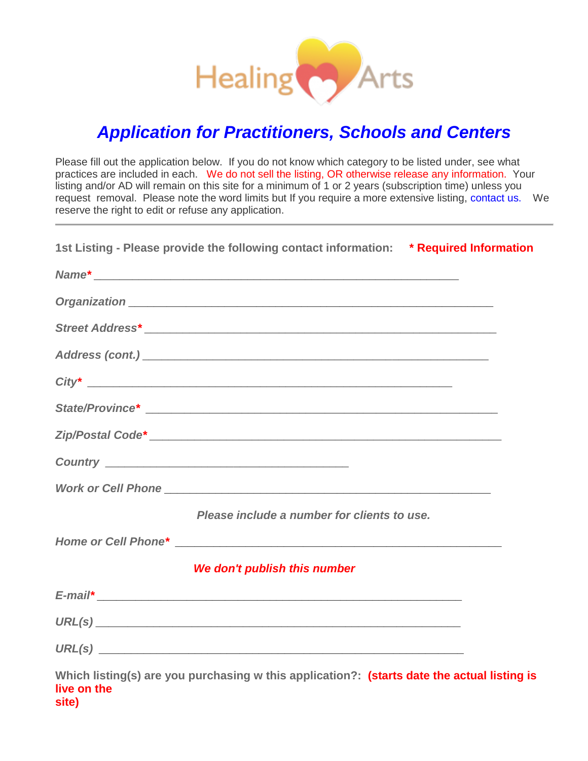

## *Application for Practitioners, Schools and Centers*

Please fill out the application below. If you do not know which category to be listed under, see what practices are included in each. We do not sell the listing, OR otherwise release any information. Your listing and/or AD will remain on this site for a minimum of 1 or 2 years (subscription time) unless you request removal. Please note the word limits but If you require a more extensive listing, [contact](mailto:info@HealingArtsNetwork.com) us. We reserve the right to edit or refuse any application.

| 1st Listing - Please provide the following contact information: * Required Information      |  |
|---------------------------------------------------------------------------------------------|--|
|                                                                                             |  |
|                                                                                             |  |
|                                                                                             |  |
|                                                                                             |  |
|                                                                                             |  |
|                                                                                             |  |
|                                                                                             |  |
|                                                                                             |  |
|                                                                                             |  |
| Please include a number for clients to use.                                                 |  |
|                                                                                             |  |
| We don't publish this number                                                                |  |
|                                                                                             |  |
|                                                                                             |  |
|                                                                                             |  |
| Which listing(s) are you purchasing w this application?: (starts date the actual listing is |  |

**live on the site)**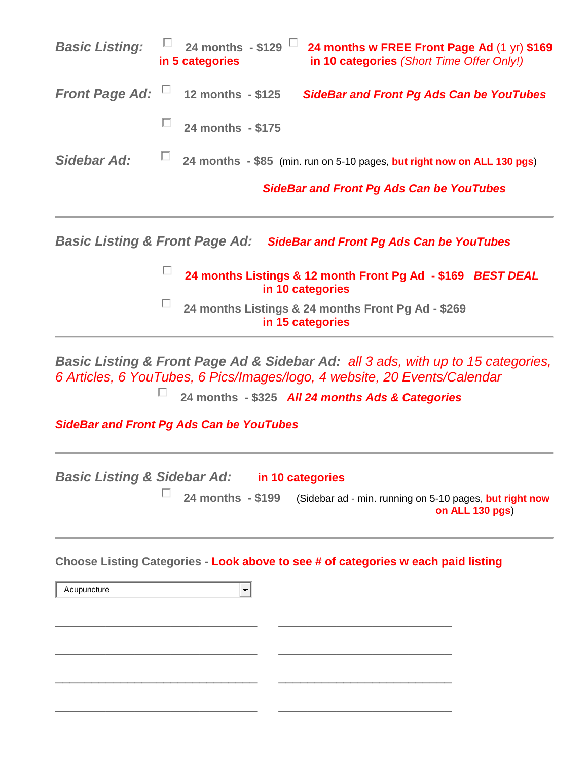| <b>Basic Listing:</b>                                                                                                                       |                                                 | 24 months - \$129 $\Box$<br>in 5 categories     | 24 months w FREE Front Page Ad (1 yr) \$169<br>in 10 categories (Short Time Offer Only!)                                                                      |  |  |  |  |
|---------------------------------------------------------------------------------------------------------------------------------------------|-------------------------------------------------|-------------------------------------------------|---------------------------------------------------------------------------------------------------------------------------------------------------------------|--|--|--|--|
| <b>Front Page Ad:</b>                                                                                                                       |                                                 | 12 months - \$125                               | <b>SideBar and Front Pg Ads Can be YouTubes</b>                                                                                                               |  |  |  |  |
|                                                                                                                                             | п                                               | 24 months - \$175                               |                                                                                                                                                               |  |  |  |  |
| Sidebar Ad:                                                                                                                                 | П                                               |                                                 | 24 months - \$85 (min. run on 5-10 pages, but right now on ALL 130 pgs)                                                                                       |  |  |  |  |
|                                                                                                                                             | <b>SideBar and Front Pg Ads Can be YouTubes</b> |                                                 |                                                                                                                                                               |  |  |  |  |
| Basic Listing & Front Page Ad: SideBar and Front Pg Ads Can be YouTubes<br>п<br>24 months Listings & 12 month Front Pg Ad - \$169 BEST DEAL |                                                 |                                                 |                                                                                                                                                               |  |  |  |  |
| in 10 categories<br>П<br>24 months Listings & 24 months Front Pg Ad - \$269<br>in 15 categories                                             |                                                 |                                                 |                                                                                                                                                               |  |  |  |  |
|                                                                                                                                             |                                                 |                                                 | Basic Listing & Front Page Ad & Sidebar Ad: all 3 ads, with up to 15 categories,<br>6 Articles, 6 YouTubes, 6 Pics/Images/logo, 4 website, 20 Events/Calendar |  |  |  |  |
|                                                                                                                                             | П                                               |                                                 | 24 months - \$325 All 24 months Ads & Categories                                                                                                              |  |  |  |  |
|                                                                                                                                             |                                                 | <b>SideBar and Front Pg Ads Can be YouTubes</b> |                                                                                                                                                               |  |  |  |  |
| <b>Basic Listing &amp; Sidebar Ad:</b>                                                                                                      |                                                 |                                                 | in 10 categories                                                                                                                                              |  |  |  |  |

**24 months - \$199** (Sidebar ad - min. running on 5-10 pages, **but right now on ALL 130 pgs**)

**Choose Listing Categories - Look above to see # of categories w each paid listing**

\_\_\_\_\_\_\_\_\_\_\_\_\_\_\_\_\_\_\_\_\_\_\_\_\_\_\_\_ \_\_\_\_\_\_\_\_\_\_\_\_\_\_\_\_\_\_\_\_\_\_\_\_

\_\_\_\_\_\_\_\_\_\_\_\_\_\_\_\_\_\_\_\_\_\_\_\_\_\_\_\_ \_\_\_\_\_\_\_\_\_\_\_\_\_\_\_\_\_\_\_\_\_\_\_\_

\_\_\_\_\_\_\_\_\_\_\_\_\_\_\_\_\_\_\_\_\_\_\_\_\_\_\_\_ \_\_\_\_\_\_\_\_\_\_\_\_\_\_\_\_\_\_\_\_\_\_\_\_

\_\_\_\_\_\_\_\_\_\_\_\_\_\_\_\_\_\_\_\_\_\_\_\_\_\_\_\_ \_\_\_\_\_\_\_\_\_\_\_\_\_\_\_\_\_\_\_\_\_\_\_\_

Acupuncture

 $\overline{\Xi}$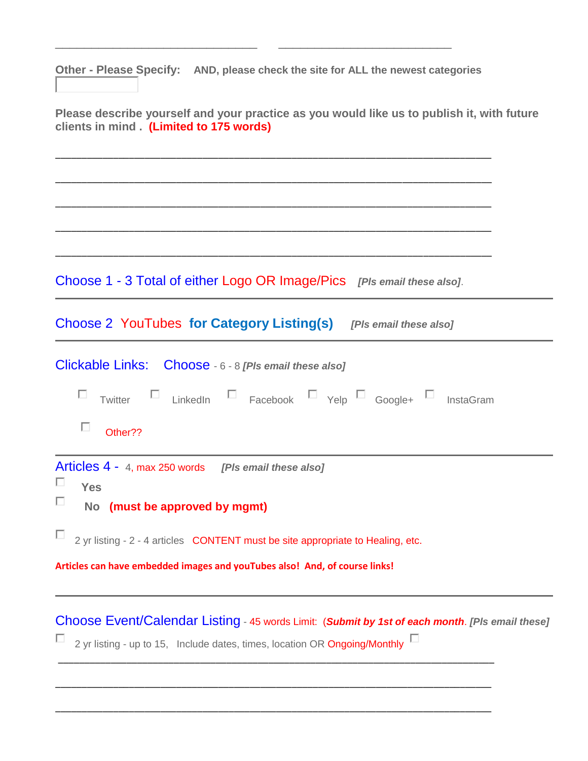**Other - Please Specify: AND, please check the site for ALL the newest categories**

\_\_\_\_\_\_\_\_\_\_\_\_\_\_\_\_\_\_\_\_\_\_\_\_\_\_\_\_ \_\_\_\_\_\_\_\_\_\_\_\_\_\_\_\_\_\_\_\_\_\_\_\_

| Please describe yourself and your practice as you would like us to publish it, with future<br>clients in mind. (Limited to 175 words)                                         |
|-------------------------------------------------------------------------------------------------------------------------------------------------------------------------------|
|                                                                                                                                                                               |
|                                                                                                                                                                               |
| Choose 1 - 3 Total of either Logo OR Image/Pics [PIs email these also].                                                                                                       |
| Choose 2 YouTubes for Category Listing(s) [PIs email these also]                                                                                                              |
| Clickable Links: Choose - 6 - 8 [PIs email these also]                                                                                                                        |
| Twitter $\square$ LinkedIn $\square$ Facebook $\square$ Yelp $\square$ Google+ $\square$ InstaGram                                                                            |
| П<br>Other??                                                                                                                                                                  |
| Articles 4 - 4, max 250 words [PIs email these also]<br>ш<br><b>Yes</b>                                                                                                       |
| ш<br>No (must be approved by mgmt)                                                                                                                                            |
| $\Box$ 2 yr listing - 2 - 4 articles CONTENT must be site appropriate to Healing, etc.                                                                                        |
| Articles can have embedded images and youTubes also! And, of course links!                                                                                                    |
| Choose Event/Calendar Listing - 45 words Limit: (Submit by 1st of each month. [PIs email these]<br>2 yr listing - up to 15, Include dates, times, location OR Ongoing/Monthly |
|                                                                                                                                                                               |

\_\_\_\_\_\_\_\_\_\_\_\_\_\_\_\_\_\_\_\_\_\_\_\_\_\_\_\_\_\_\_\_\_\_\_\_\_\_\_\_\_\_\_\_\_\_\_\_\_\_\_\_\_\_\_\_\_\_\_\_\_\_\_\_\_\_\_\_\_\_\_\_\_\_\_\_\_\_\_\_\_\_\_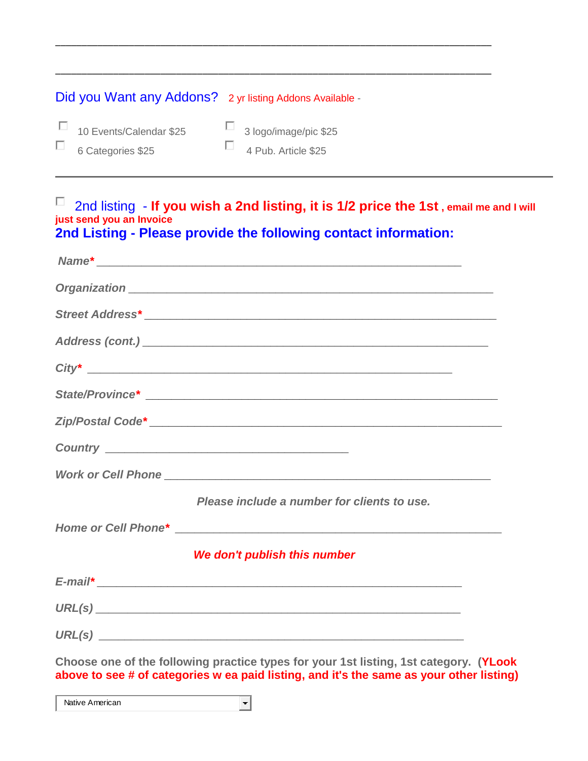| Did you Want any Addons? 2 yr listing Addons Available - |                              |
|----------------------------------------------------------|------------------------------|
| $\Box$ 10 Events/Calendar \$25                           | $\Box$ 3 logo/image/pic \$25 |
| $\Box$ 6 Categories \$25                                 | $\Box$ 4 Pub. Article \$25   |

\_\_\_\_\_\_\_\_\_\_\_\_\_\_\_\_\_\_\_\_\_\_\_\_\_\_\_\_\_\_\_\_\_\_\_\_\_\_\_\_\_\_\_\_\_\_\_\_\_\_\_\_\_\_\_\_\_\_\_\_\_\_\_\_\_\_\_\_\_\_\_\_\_\_\_\_\_\_\_\_\_\_\_

\_\_\_\_\_\_\_\_\_\_\_\_\_\_\_\_\_\_\_\_\_\_\_\_\_\_\_\_\_\_\_\_\_\_\_\_\_\_\_\_\_\_\_\_\_\_\_\_\_\_\_\_\_\_\_\_\_\_\_\_\_\_\_\_\_\_\_\_\_\_\_\_\_\_\_\_\_\_\_\_\_\_\_

## 2nd listing - **If you wish a 2nd listing, it is 1/2 price the 1st , email me and I will just send you an Invoice 2nd Listing - Please provide the following contact information:**

| Please include a number for clients to use.                                                                                                                                       |  |
|-----------------------------------------------------------------------------------------------------------------------------------------------------------------------------------|--|
|                                                                                                                                                                                   |  |
| We don't publish this number                                                                                                                                                      |  |
|                                                                                                                                                                                   |  |
|                                                                                                                                                                                   |  |
|                                                                                                                                                                                   |  |
| Choose one of the following practice types for your 1st listing, 1st category. (YLook<br>above to see # of categories w ea paid listing, and it's the same as your other listing) |  |

 $\vert \cdot \vert$ Native American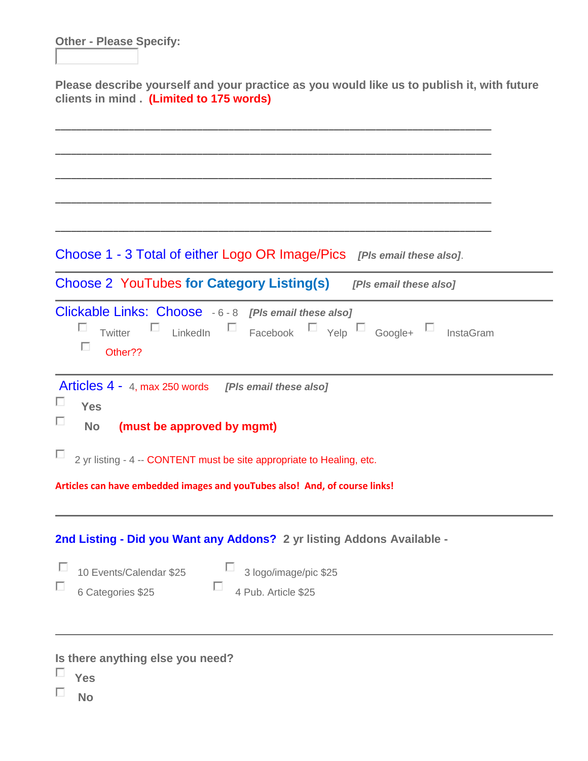**Other - Please Specify:**

**Please describe yourself and your practice as you would like us to publish it, with future clients in mind . (Limited to 175 words)**

Choose 1 - 3 Total of either Logo OR Image/Pics *[Pls email these also]*.

\_\_\_\_\_\_\_\_\_\_\_\_\_\_\_\_\_\_\_\_\_\_\_\_\_\_\_\_\_\_\_\_\_\_\_\_\_\_\_\_\_\_\_\_\_\_\_\_\_\_\_\_\_\_\_\_\_\_\_\_\_\_\_\_\_\_\_\_\_\_\_\_\_\_\_\_\_\_\_\_\_\_\_

\_\_\_\_\_\_\_\_\_\_\_\_\_\_\_\_\_\_\_\_\_\_\_\_\_\_\_\_\_\_\_\_\_\_\_\_\_\_\_\_\_\_\_\_\_\_\_\_\_\_\_\_\_\_\_\_\_\_\_\_\_\_\_\_\_\_\_\_\_\_\_\_\_\_\_\_\_\_\_\_\_\_\_

\_\_\_\_\_\_\_\_\_\_\_\_\_\_\_\_\_\_\_\_\_\_\_\_\_\_\_\_\_\_\_\_\_\_\_\_\_\_\_\_\_\_\_\_\_\_\_\_\_\_\_\_\_\_\_\_\_\_\_\_\_\_\_\_\_\_\_\_\_\_\_\_\_\_\_\_\_\_\_\_\_\_\_

\_\_\_\_\_\_\_\_\_\_\_\_\_\_\_\_\_\_\_\_\_\_\_\_\_\_\_\_\_\_\_\_\_\_\_\_\_\_\_\_\_\_\_\_\_\_\_\_\_\_\_\_\_\_\_\_\_\_\_\_\_\_\_\_\_\_\_\_\_\_\_\_\_\_\_\_\_\_\_\_\_\_\_

\_\_\_\_\_\_\_\_\_\_\_\_\_\_\_\_\_\_\_\_\_\_\_\_\_\_\_\_\_\_\_\_\_\_\_\_\_\_\_\_\_\_\_\_\_\_\_\_\_\_\_\_\_\_\_\_\_\_\_\_\_\_\_\_\_\_\_\_\_\_\_\_\_\_\_\_\_\_\_\_\_\_\_

Choose 2 YouTubes **for Category Listing(s)** *[Pls email these also]* Clickable Links: Choose - 6 - 8 *[Pls email these also]* П Twitter  $\Box$  LinkedIn  $\Box$  Facebook  $\Box$  Yelp  $\Box$  Google+  $\Box$  InstaGram П Other?? Articles 4 - 4, max 250 words *[Pls email these also]* П **Yes** П  **No (must be approved by mgmt)**  $\Box$  2 vr listing - 4 -- CONTENT must be site appropriate to Healing, etc. **Articles can have embedded images and youTubes also! And, of course links!**

**2nd Listing - Did you Want any Addons? 2 yr listing Addons Available -**

П 10 Events/Calendar \$25 5 3 logo/image/pic \$25 п 6 Categories \$25 4 Pub. Article \$25

**Is there anything else you need?**

- П **Yes**
- п **No**